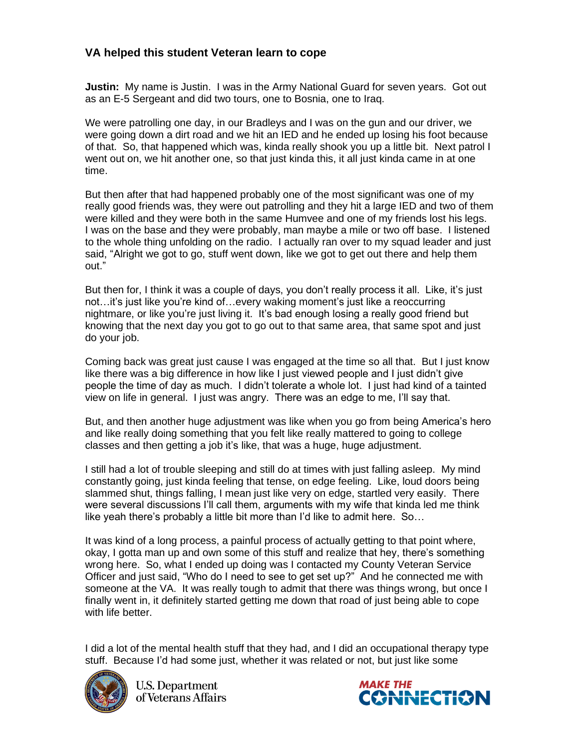## **VA helped this student Veteran learn to cope**

**Justin:** My name is Justin. I was in the Army National Guard for seven years. Got out as an E-5 Sergeant and did two tours, one to Bosnia, one to Iraq.

We were patrolling one day, in our Bradleys and I was on the gun and our driver, we were going down a dirt road and we hit an IED and he ended up losing his foot because of that. So, that happened which was, kinda really shook you up a little bit. Next patrol I went out on, we hit another one, so that just kinda this, it all just kinda came in at one time.

But then after that had happened probably one of the most significant was one of my really good friends was, they were out patrolling and they hit a large IED and two of them were killed and they were both in the same Humvee and one of my friends lost his legs. I was on the base and they were probably, man maybe a mile or two off base. I listened to the whole thing unfolding on the radio. I actually ran over to my squad leader and just said, "Alright we got to go, stuff went down, like we got to get out there and help them out."

But then for, I think it was a couple of days, you don't really process it all. Like, it's just not…it's just like you're kind of…every waking moment's just like a reoccurring nightmare, or like you're just living it. It's bad enough losing a really good friend but knowing that the next day you got to go out to that same area, that same spot and just do your job.

Coming back was great just cause I was engaged at the time so all that. But I just know like there was a big difference in how like I just viewed people and I just didn't give people the time of day as much. I didn't tolerate a whole lot. I just had kind of a tainted view on life in general. I just was angry. There was an edge to me, I'll say that.

But, and then another huge adjustment was like when you go from being America's hero and like really doing something that you felt like really mattered to going to college classes and then getting a job it's like, that was a huge, huge adjustment.

I still had a lot of trouble sleeping and still do at times with just falling asleep. My mind constantly going, just kinda feeling that tense, on edge feeling. Like, loud doors being slammed shut, things falling, I mean just like very on edge, startled very easily. There were several discussions I'll call them, arguments with my wife that kinda led me think like yeah there's probably a little bit more than I'd like to admit here. So…

It was kind of a long process, a painful process of actually getting to that point where, okay, I gotta man up and own some of this stuff and realize that hey, there's something wrong here. So, what I ended up doing was I contacted my County Veteran Service Officer and just said, "Who do I need to see to get set up?" And he connected me with someone at the VA. It was really tough to admit that there was things wrong, but once I finally went in, it definitely started getting me down that road of just being able to cope with life better.

I did a lot of the mental health stuff that they had, and I did an occupational therapy type stuff. Because I'd had some just, whether it was related or not, but just like some



**U.S. Department** of Veterans Affairs